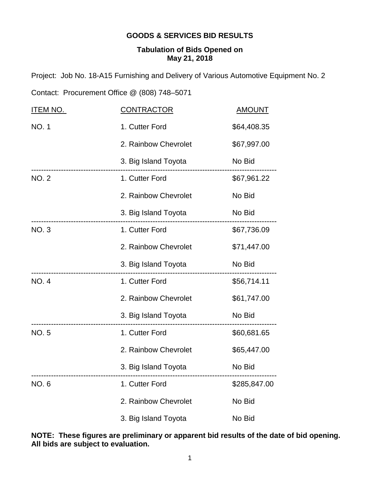## **GOODS & SERVICES BID RESULTS**

## **Tabulation of Bids Opened on May 21, 2018**

Project: Job No. 18-A15 Furnishing and Delivery of Various Automotive Equipment No. 2

Contact: Procurement Office @ (808) 748–5071

| <b>ITEM NO.</b> | <u>CONTRACTOR</u>    | <b>AMOUNT</b> |
|-----------------|----------------------|---------------|
| <b>NO.1</b>     | 1. Cutter Ford       | \$64,408.35   |
|                 | 2. Rainbow Chevrolet | \$67,997.00   |
|                 | 3. Big Island Toyota | No Bid        |
| <b>NO. 2</b>    | 1. Cutter Ford       | \$67,961.22   |
|                 | 2. Rainbow Chevrolet | No Bid        |
|                 | 3. Big Island Toyota | No Bid        |
| NO. 3           | 1. Cutter Ford       | \$67,736.09   |
|                 | 2. Rainbow Chevrolet | \$71,447.00   |
|                 | 3. Big Island Toyota | No Bid        |
| <b>NO.4</b>     | 1. Cutter Ford       | \$56,714.11   |
|                 | 2. Rainbow Chevrolet | \$61,747.00   |
|                 | 3. Big Island Toyota | No Bid        |
| <b>NO.5</b>     | 1. Cutter Ford       | \$60,681.65   |
|                 | 2. Rainbow Chevrolet | \$65,447.00   |
|                 | 3. Big Island Toyota | No Bid        |
| <b>NO.6</b>     | 1. Cutter Ford       | \$285,847.00  |
|                 | 2. Rainbow Chevrolet | No Bid        |
|                 | 3. Big Island Toyota | No Bid        |

**NOTE: These figures are preliminary or apparent bid results of the date of bid opening. All bids are subject to evaluation.**